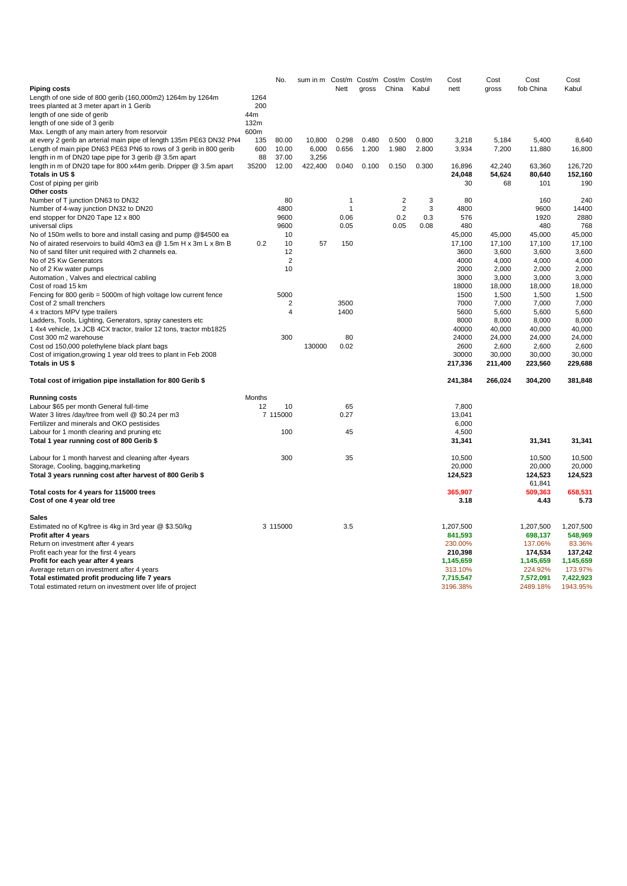|                                                                     |        | No.            | sum in m Cost/m Cost/m Cost/m Cost/m |                |       |                |       | Cost      | Cost    | Cost      | Cost      |
|---------------------------------------------------------------------|--------|----------------|--------------------------------------|----------------|-------|----------------|-------|-----------|---------|-----------|-----------|
| <b>Piping costs</b>                                                 |        |                |                                      | Nett           | gross | China          | Kabul | nett      | gross   | fob China | Kabul     |
| Length of one side of 800 gerib (160,000m2) 1264m by 1264m          | 1264   |                |                                      |                |       |                |       |           |         |           |           |
| trees planted at 3 meter apart in 1 Gerib                           | 200    |                |                                      |                |       |                |       |           |         |           |           |
| length of one side of gerib                                         | 44m    |                |                                      |                |       |                |       |           |         |           |           |
| length of one side of 3 gerib                                       | 132m   |                |                                      |                |       |                |       |           |         |           |           |
| Max. Length of any main artery from resorvoir                       | 600m   |                |                                      |                |       |                |       |           |         |           |           |
| at every 2 gerib an arterial main pipe of length 135m PE63 DN32 PN4 | 135    | 80.00          | 10,800                               | 0.298          | 0.480 | 0.500          | 0.800 | 3,218     | 5,184   | 5,400     | 8,640     |
| Length of main pipe DN63 PE63 PN6 to rows of 3 gerib in 800 gerib   | 600    | 10.00          | 6,000                                | 0.656          | 1.200 | 1.980          | 2.800 | 3,934     | 7,200   | 11,880    | 16,800    |
| length in m of DN20 tape pipe for 3 gerib @ 3.5m apart              | 88     | 37.00          | 3,256                                |                |       |                |       |           |         |           |           |
| length in m of DN20 tape for 800 x44m gerib. Dripper @ 3.5m apart   | 35200  | 12.00          | 422,400                              | 0.040          | 0.100 | 0.150          | 0.300 | 16,896    | 42,240  | 63,360    | 126,720   |
| Totals in US \$                                                     |        |                |                                      |                |       |                |       | 24,048    | 54,624  | 80,640    | 152,160   |
| Cost of piping per girib                                            |        |                |                                      |                |       |                |       | 30        | 68      | 101       | 190       |
| Other costs                                                         |        |                |                                      |                |       |                |       |           |         |           |           |
| Number of T junction DN63 to DN32                                   |        | 80             |                                      | $\overline{1}$ |       | $\overline{2}$ | 3     | 80        |         | 160       | 240       |
| Number of 4-way junction DN32 to DN20                               |        | 4800           |                                      | $\mathbf{1}$   |       | $\overline{2}$ | 3     | 4800      |         | 9600      | 14400     |
| end stopper for DN20 Tape 12 x 800                                  |        | 9600           |                                      | 0.06           |       | 0.2            | 0.3   | 576       |         | 1920      | 2880      |
| universal clips                                                     |        | 9600           |                                      | 0.05           |       | 0.05           | 0.08  | 480       |         | 480       | 768       |
| No of 150m wells to bore and install casing and pump @\$4500 ea     |        | 10             |                                      |                |       |                |       | 45,000    | 45,000  | 45,000    | 45,000    |
| No of airated reservoirs to build 40m3 ea @ 1.5m H x 3m L x 8m B    | 0.2    | 10             | 57                                   | 150            |       |                |       | 17,100    | 17,100  | 17,100    | 17,100    |
| No of sand filter unit required with 2 channels ea.                 |        | 12             |                                      |                |       |                |       | 3600      | 3,600   | 3,600     | 3,600     |
| No of 25 Kw Generators                                              |        | $\overline{2}$ |                                      |                |       |                |       | 4000      | 4,000   | 4,000     | 4,000     |
| No of 2 Kw water pumps                                              |        | 10             |                                      |                |       |                |       | 2000      | 2,000   | 2,000     | 2,000     |
| Automation, Valves and electrical cabling                           |        |                |                                      |                |       |                |       | 3000      | 3,000   | 3,000     | 3,000     |
| Cost of road 15 km                                                  |        |                |                                      |                |       |                |       | 18000     | 18,000  | 18,000    | 18,000    |
| Fencing for 800 gerib = 5000m of high voltage low current fence     |        | 5000           |                                      |                |       |                |       | 1500      | 1,500   | 1,500     | 1,500     |
| Cost of 2 small trenchers                                           |        | $\overline{2}$ |                                      | 3500           |       |                |       | 7000      | 7,000   | 7,000     | 7,000     |
| 4 x tractors MPV type trailers                                      |        | $\overline{4}$ |                                      | 1400           |       |                |       | 5600      | 5,600   | 5,600     | 5,600     |
| Ladders, Tools, Lighting, Generators, spray canesters etc           |        |                |                                      |                |       |                |       | 8000      | 8,000   | 8,000     | 8,000     |
| 1 4x4 vehicle, 1x JCB 4CX tractor, trailor 12 tons, tractor mb1825  |        |                |                                      |                |       |                |       | 40000     | 40,000  | 40,000    | 40,000    |
| Cost 300 m2 warehouse                                               |        | 300            |                                      | 80             |       |                |       | 24000     | 24,000  | 24,000    | 24,000    |
| Cost od 150,000 polethylene black plant bags                        |        |                | 130000                               | 0.02           |       |                |       | 2600      | 2,600   | 2,600     | 2,600     |
| Cost of irrigation, growing 1 year old trees to plant in Feb 2008   |        |                |                                      |                |       |                |       | 30000     | 30,000  | 30,000    | 30,000    |
| Totals in US \$                                                     |        |                |                                      |                |       |                |       | 217,336   | 211,400 | 223,560   | 229,688   |
| Total cost of irrigation pipe installation for 800 Gerib \$         |        |                |                                      |                |       |                |       | 241,384   | 266,024 | 304,200   | 381,848   |
| <b>Running costs</b>                                                | Months |                |                                      |                |       |                |       |           |         |           |           |
| Labour \$65 per month General full-time                             | 12     | 10             |                                      | 65             |       |                |       | 7,800     |         |           |           |
| Water 3 litres /day/tree from well @ \$0.24 per m3                  |        | 7 115000       |                                      | 0.27           |       |                |       | 13,041    |         |           |           |
| Fertilizer and minerals and OKO pestisides                          |        |                |                                      |                |       |                |       | 6,000     |         |           |           |
| Labour for 1 month clearing and pruning etc                         |        | 100            |                                      | 45             |       |                |       | 4,500     |         |           |           |
| Total 1 year running cost of 800 Gerib \$                           |        |                |                                      |                |       |                |       | 31,341    |         | 31,341    | 31,341    |
|                                                                     |        |                |                                      |                |       |                |       |           |         |           |           |
| Labour for 1 month harvest and cleaning after 4years                |        | 300            |                                      | 35             |       |                |       | 10,500    |         | 10,500    | 10.500    |
| Storage, Cooling, bagging, marketing                                |        |                |                                      |                |       |                |       | 20,000    |         | 20,000    | 20,000    |
| Total 3 years running cost after harvest of 800 Gerib \$            |        |                |                                      |                |       |                |       | 124,523   |         | 124,523   | 124,523   |
|                                                                     |        |                |                                      |                |       |                |       |           |         | 61,841    |           |
| Total costs for 4 years for 115000 trees                            |        |                |                                      |                |       |                |       | 365,907   |         | 509,363   | 658,531   |
| Cost of one 4 year old tree                                         |        |                |                                      |                |       |                |       | 3.18      |         | 4.43      | 5.73      |
| Sales                                                               |        |                |                                      |                |       |                |       |           |         |           |           |
| Estimated no of Kg/tree is 4kg in 3rd year @ \$3.50/kg              |        | 3 115000       |                                      | 3.5            |       |                |       | 1,207,500 |         | 1,207,500 | 1,207,500 |
| Profit after 4 years                                                |        |                |                                      |                |       |                |       | 841,593   |         | 698,137   | 548,969   |
| Return on investment after 4 years                                  |        |                |                                      |                |       |                |       | 230.00%   |         | 137.06%   | 83.36%    |
| Profit each year for the first 4 years                              |        |                |                                      |                |       |                |       | 210,398   |         | 174,534   | 137,242   |
| Profit for each year after 4 years                                  |        |                |                                      |                |       |                |       | 1,145,659 |         | 1,145,659 | 1,145,659 |
| Average return on investment after 4 years                          |        |                |                                      |                |       |                |       | 313.10%   |         | 224.92%   | 173.97%   |
| Total estimated profit producing life 7 years                       |        |                |                                      |                |       |                |       | 7,715,547 |         | 7,572,091 | 7,422,923 |
| Total estimated return on investment over life of project           |        |                |                                      |                |       |                |       | 3196.38%  |         | 2489.18%  | 1943.95%  |
|                                                                     |        |                |                                      |                |       |                |       |           |         |           |           |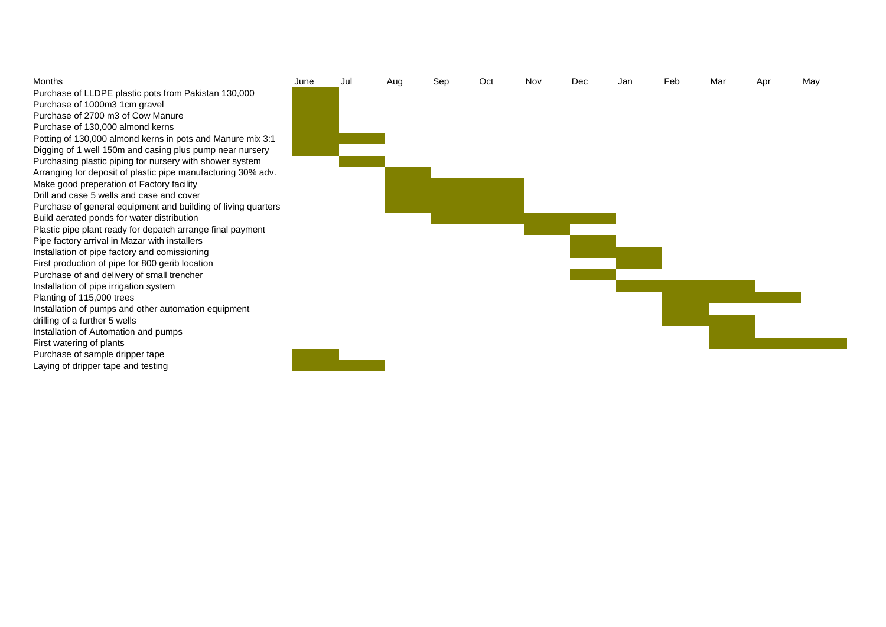Purchase of LLDPE plastic pots from Pakistan 130,000 Purchase of 1000m3 1cm gravel Purchase of 2700 m3 of Cow Manure Purchase of 130,000 almond kerns Potting of 130,000 almond kerns in pots and Manure mix 3:1 Digging of 1 well 150m and casing plus pump near nursery Purchasing plastic piping for nursery with shower system Arranging for deposit of plastic pipe manufacturing 30% adv. Make good preperation of Factory facility Drill and case 5 wells and case and cover Purchase of general equipment and building of living quarters Build aerated ponds for water distribution Plastic pipe plant ready for depatch arrange final payment Pipe factory arrival in Mazar with installers Installation of pipe factory and comissioning First production of pipe for 800 gerib location Purchase of and delivery of small trencher Installation of pipe irrigation system Planting of 115,000 trees Installation of pumps and other automation equipment drilling of a further 5 wells Installation of Automation and pumps First watering of plants Purchase of sample dripper tape Laying of dripper tape and testing